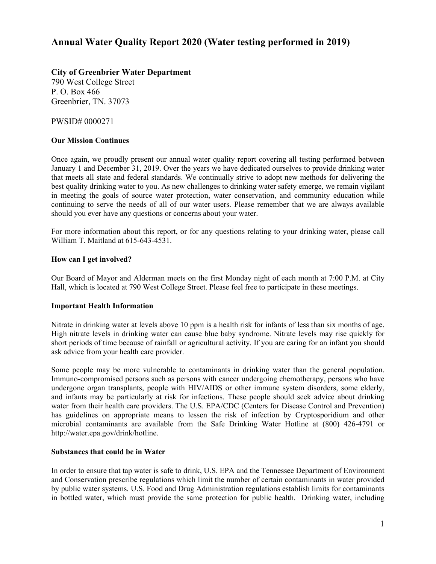# **Annual Water Quality Report 2020 (Water testing performed in 2019)**

# **City of Greenbrier Water Department**

790 West College Street P. O. Box 466 Greenbrier, TN. 37073

PWSID# 0000271

## **Our Mission Continues**

Once again, we proudly present our annual water quality report covering all testing performed between January 1 and December 31, 2019. Over the years we have dedicated ourselves to provide drinking water that meets all state and federal standards. We continually strive to adopt new methods for delivering the best quality drinking water to you. As new challenges to drinking water safety emerge, we remain vigilant in meeting the goals of source water protection, water conservation, and community education while continuing to serve the needs of all of our water users. Please remember that we are always available should you ever have any questions or concerns about your water.

For more information about this report, or for any questions relating to your drinking water, please call William T. Maitland at 615-643-4531.

## **How can I get involved?**

Our Board of Mayor and Alderman meets on the first Monday night of each month at 7:00 P.M. at City Hall, which is located at 790 West College Street. Please feel free to participate in these meetings.

#### **Important Health Information**

Nitrate in drinking water at levels above 10 ppm is a health risk for infants of less than six months of age. High nitrate levels in drinking water can cause blue baby syndrome. Nitrate levels may rise quickly for short periods of time because of rainfall or agricultural activity. If you are caring for an infant you should ask advice from your health care provider.

Some people may be more vulnerable to contaminants in drinking water than the general population. Immuno-compromised persons such as persons with cancer undergoing chemotherapy, persons who have undergone organ transplants, people with HIV/AIDS or other immune system disorders, some elderly, and infants may be particularly at risk for infections. These people should seek advice about drinking water from their health care providers. The U.S. EPA/CDC (Centers for Disease Control and Prevention) has guidelines on appropriate means to lessen the risk of infection by Cryptosporidium and other microbial contaminants are available from the Safe Drinking Water Hotline at (800) 426-4791 or http://water.epa.gov/drink/hotline.

## **Substances that could be in Water**

In order to ensure that tap water is safe to drink, U.S. EPA and the Tennessee Department of Environment and Conservation prescribe regulations which limit the number of certain contaminants in water provided by public water systems. U.S. Food and Drug Administration regulations establish limits for contaminants in bottled water, which must provide the same protection for public health. Drinking water, including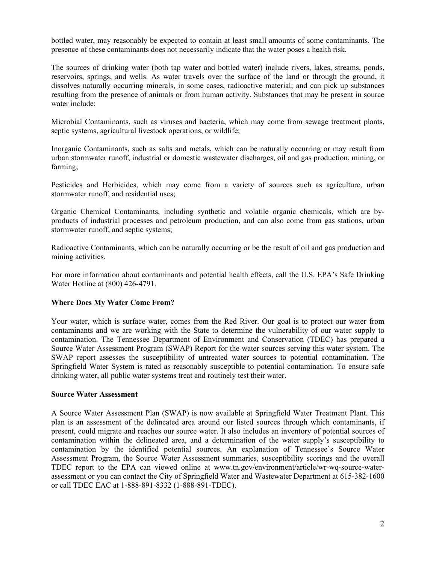bottled water, may reasonably be expected to contain at least small amounts of some contaminants. The presence of these contaminants does not necessarily indicate that the water poses a health risk.

The sources of drinking water (both tap water and bottled water) include rivers, lakes, streams, ponds, reservoirs, springs, and wells. As water travels over the surface of the land or through the ground, it dissolves naturally occurring minerals, in some cases, radioactive material; and can pick up substances resulting from the presence of animals or from human activity. Substances that may be present in source water include:

Microbial Contaminants, such as viruses and bacteria, which may come from sewage treatment plants, septic systems, agricultural livestock operations, or wildlife;

Inorganic Contaminants, such as salts and metals, which can be naturally occurring or may result from urban stormwater runoff, industrial or domestic wastewater discharges, oil and gas production, mining, or farming;

Pesticides and Herbicides, which may come from a variety of sources such as agriculture, urban stormwater runoff, and residential uses;

Organic Chemical Contaminants, including synthetic and volatile organic chemicals, which are byproducts of industrial processes and petroleum production, and can also come from gas stations, urban stormwater runoff, and septic systems;

Radioactive Contaminants, which can be naturally occurring or be the result of oil and gas production and mining activities.

For more information about contaminants and potential health effects, call the U.S. EPA's Safe Drinking Water Hotline at (800) 426-4791.

## **Where Does My Water Come From?**

Your water, which is surface water, comes from the Red River. Our goal is to protect our water from contaminants and we are working with the State to determine the vulnerability of our water supply to contamination. The Tennessee Department of Environment and Conservation (TDEC) has prepared a Source Water Assessment Program (SWAP) Report for the water sources serving this water system. The SWAP report assesses the susceptibility of untreated water sources to potential contamination. The Springfield Water System is rated as reasonably susceptible to potential contamination. To ensure safe drinking water, all public water systems treat and routinely test their water.

#### **Source Water Assessment**

A Source Water Assessment Plan (SWAP) is now available at Springfield Water Treatment Plant. This plan is an assessment of the delineated area around our listed sources through which contaminants, if present, could migrate and reaches our source water. It also includes an inventory of potential sources of contamination within the delineated area, and a determination of the water supply's susceptibility to contamination by the identified potential sources. An explanation of Tennessee's Source Water Assessment Program, the Source Water Assessment summaries, susceptibility scorings and the overall TDEC report to the EPA can viewed online at www.tn.gov/environment/article/wr-wq-source-waterassessment or you can contact the City of Springfield Water and Wastewater Department at 615-382-1600 or call TDEC EAC at 1-888-891-8332 (1-888-891-TDEC).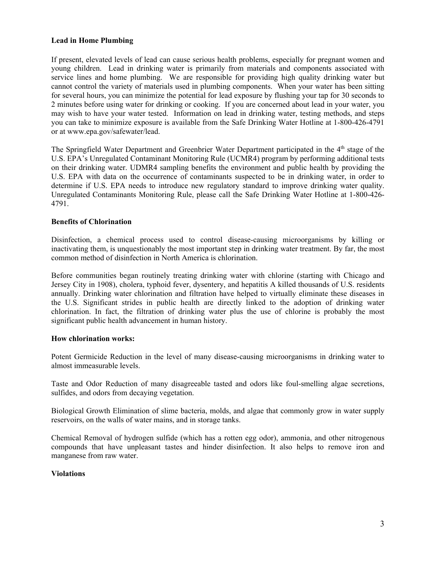## **Lead in Home Plumbing**

If present, elevated levels of lead can cause serious health problems, especially for pregnant women and young children. Lead in drinking water is primarily from materials and components associated with service lines and home plumbing. We are responsible for providing high quality drinking water but cannot control the variety of materials used in plumbing components. When your water has been sitting for several hours, you can minimize the potential for lead exposure by flushing your tap for 30 seconds to 2 minutes before using water for drinking or cooking. If you are concerned about lead in your water, you may wish to have your water tested. Information on lead in drinking water, testing methods, and steps you can take to minimize exposure is available from the Safe Drinking Water Hotline at 1-800-426-4791 or at www.epa.gov/safewater/lead.

The Springfield Water Department and Greenbrier Water Department participated in the 4<sup>th</sup> stage of the U.S. EPA's Unregulated Contaminant Monitoring Rule (UCMR4) program by performing additional tests on their drinking water. UDMR4 sampling benefits the environment and public health by providing the U.S. EPA with data on the occurrence of contaminants suspected to be in drinking water, in order to determine if U.S. EPA needs to introduce new regulatory standard to improve drinking water quality. Unregulated Contaminants Monitoring Rule, please call the Safe Drinking Water Hotline at 1-800-426- 4791.

## **Benefits of Chlorination**

Disinfection, a chemical process used to control disease-causing microorganisms by killing or inactivating them, is unquestionably the most important step in drinking water treatment. By far, the most common method of disinfection in North America is chlorination.

Before communities began routinely treating drinking water with chlorine (starting with Chicago and Jersey City in 1908), cholera, typhoid fever, dysentery, and hepatitis A killed thousands of U.S. residents annually. Drinking water chlorination and filtration have helped to virtually eliminate these diseases in the U.S. Significant strides in public health are directly linked to the adoption of drinking water chlorination. In fact, the filtration of drinking water plus the use of chlorine is probably the most significant public health advancement in human history.

#### **How chlorination works:**

Potent Germicide Reduction in the level of many disease-causing microorganisms in drinking water to almost immeasurable levels.

Taste and Odor Reduction of many disagreeable tasted and odors like foul-smelling algae secretions, sulfides, and odors from decaying vegetation.

Biological Growth Elimination of slime bacteria, molds, and algae that commonly grow in water supply reservoirs, on the walls of water mains, and in storage tanks.

Chemical Removal of hydrogen sulfide (which has a rotten egg odor), ammonia, and other nitrogenous compounds that have unpleasant tastes and hinder disinfection. It also helps to remove iron and manganese from raw water.

## **Violations**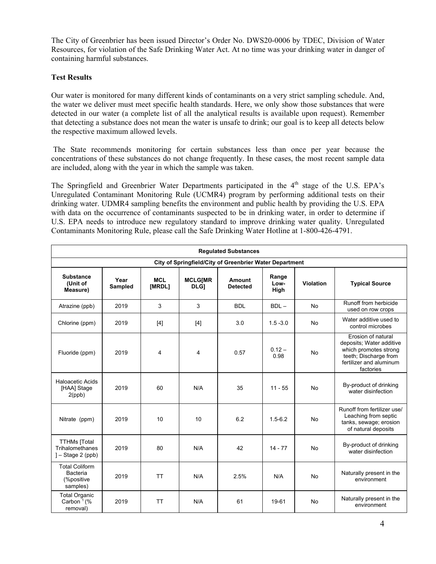The City of Greenbrier has been issued Director's Order No. DWS20-0006 by TDEC, Division of Water Resources, for violation of the Safe Drinking Water Act. At no time was your drinking water in danger of containing harmful substances.

# **Test Results**

Our water is monitored for many different kinds of contaminants on a very strict sampling schedule. And, the water we deliver must meet specific health standards. Here, we only show those substances that were detected in our water (a complete list of all the analytical results is available upon request). Remember that detecting a substance does not mean the water is unsafe to drink; our goal is to keep all detects below the respective maximum allowed levels.

 The State recommends monitoring for certain substances less than once per year because the concentrations of these substances do not change frequently. In these cases, the most recent sample data are included, along with the year in which the sample was taken.

The Springfield and Greenbrier Water Departments participated in the 4<sup>th</sup> stage of the U.S. EPA's Unregulated Contaminant Monitoring Rule (UCMR4) program by performing additional tests on their drinking water. UDMR4 sampling benefits the environment and public health by providing the U.S. EPA with data on the occurrence of contaminants suspected to be in drinking water, in order to determine if U.S. EPA needs to introduce new regulatory standard to improve drinking water quality. Unregulated Contaminants Monitoring Rule, please call the Safe Drinking Water Hotline at 1-800-426-4791.

| <b>Regulated Substances</b>                                  |                 |                      |                                                     |            |                       |           |                                                                                                                                          |  |  |  |  |
|--------------------------------------------------------------|-----------------|----------------------|-----------------------------------------------------|------------|-----------------------|-----------|------------------------------------------------------------------------------------------------------------------------------------------|--|--|--|--|
| City of Springfield/City of Greenbrier Water Department      |                 |                      |                                                     |            |                       |           |                                                                                                                                          |  |  |  |  |
| <b>Substance</b><br>(Unit of<br>Measure)                     | Year<br>Sampled | <b>MCL</b><br>[MRDL] | <b>MCLG[MR</b><br>Amount<br>DLG]<br><b>Detected</b> |            | Range<br>Low-<br>High | Violation | <b>Typical Source</b>                                                                                                                    |  |  |  |  |
| Atrazine (ppb)                                               | 2019            | 3                    | 3                                                   | <b>BDL</b> | $BDL -$               | <b>No</b> | Runoff from herbicide<br>used on row crops                                                                                               |  |  |  |  |
| Chlorine (ppm)                                               | 2019            | $[4]$                | $[4]$                                               | 3.0        | $1.5 - 3.0$           | No        | Water additive used to<br>control microbes                                                                                               |  |  |  |  |
| Fluoride (ppm)                                               | 2019            | 4                    | 4                                                   | 0.57       | $0.12 -$<br>0.98      | No        | Erosion of natural<br>deposits; Water additive<br>which promotes strong<br>teeth; Discharge from<br>fertilizer and aluminum<br>factories |  |  |  |  |
| <b>Haloacetic Acids</b><br>[HAA] Stage<br>$2$ (ppb)          | 2019            | 60                   | N/A                                                 | 35         | $11 - 55$             | No        | By-product of drinking<br>water disinfection                                                                                             |  |  |  |  |
| Nitrate (ppm)                                                | 2019            | 10                   | 10                                                  | 6.2        | $1.5 - 6.2$           | <b>No</b> | Runoff from fertilizer use/<br>Leaching from septic<br>tanks, sewage; erosion<br>of natural deposits                                     |  |  |  |  |
| <b>TTHMs</b> [Total<br>Trihalomethanes<br>$]-$ Stage 2 (ppb) | 2019            | 80                   | N/A                                                 | 42         | $14 - 77$             | <b>No</b> | By-product of drinking<br>water disinfection                                                                                             |  |  |  |  |
| <b>Total Coliform</b><br>Bacteria<br>(%positive)<br>samples) | 2019            | <b>TT</b>            | N/A                                                 | 2.5%       | N/A                   | No        | Naturally present in the<br>environment                                                                                                  |  |  |  |  |
| <b>Total Organic</b><br>Carbon $1%$<br>removal)              | 2019            | <b>TT</b>            | N/A                                                 | 61         | 19-61                 | No        | Naturally present in the<br>environment                                                                                                  |  |  |  |  |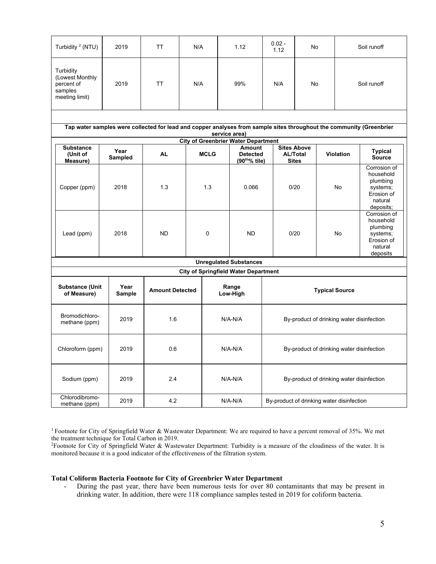| Turbidity <sup>2</sup> (NTU)                                            | 2019                                                                                                                 | TT                     | N/A         |                                           | 1.12                                                    | $0.02 -$<br>1.12                          |                                                       | No                                        |             | Soil runoff                                                                             |  |
|-------------------------------------------------------------------------|----------------------------------------------------------------------------------------------------------------------|------------------------|-------------|-------------------------------------------|---------------------------------------------------------|-------------------------------------------|-------------------------------------------------------|-------------------------------------------|-------------|-----------------------------------------------------------------------------------------|--|
| Turbidity<br>(Lowest Monthly<br>percent of<br>samples<br>meeting limit) | 2019                                                                                                                 | <b>TT</b>              | N/A         | 99%                                       |                                                         | N/A                                       | No                                                    |                                           | Soil runoff |                                                                                         |  |
|                                                                         | Tap water samples were collected for lead and copper analyses from sample sites throughout the community (Greenbrier |                        |             |                                           | service area)                                           |                                           |                                                       |                                           |             |                                                                                         |  |
|                                                                         |                                                                                                                      |                        |             |                                           | <b>City of Greenbrier Water Department</b>              |                                           |                                                       |                                           |             |                                                                                         |  |
| <b>Substance</b><br>(Unit of<br>Measure)                                | Year<br>Sampled                                                                                                      | <b>AL</b>              | <b>MCLG</b> |                                           | Amount<br><b>Detected</b><br>(90 <sup>tho</sup> % tile) |                                           | <b>Sites Above</b><br><b>AL/Total</b><br><b>Sites</b> | <b>Violation</b>                          |             | <b>Typical</b><br><b>Source</b>                                                         |  |
| Copper (ppm)                                                            | 2018                                                                                                                 | 1.3                    |             | 1.3<br>0.066                              |                                                         |                                           | 0/20                                                  |                                           | No          | Corrosion of<br>household<br>plumbing<br>systems;<br>Erosion of<br>natural<br>deposits; |  |
| Lead (ppm)                                                              | 2018                                                                                                                 | ND                     |             | 0                                         | <b>ND</b>                                               |                                           | 0/20                                                  |                                           | No          | Corrosion of<br>household<br>plumbing<br>systems;<br>Erosion of<br>natural<br>deposits  |  |
|                                                                         |                                                                                                                      |                        |             |                                           | <b>Unregulated Substances</b>                           |                                           |                                                       |                                           |             |                                                                                         |  |
|                                                                         |                                                                                                                      |                        |             |                                           | <b>City of Springfield Water Department</b>             |                                           |                                                       |                                           |             |                                                                                         |  |
| <b>Substance (Unit</b><br>of Measure)                                   | Year<br>Sample                                                                                                       | <b>Amount Detected</b> |             | Range<br>Low-High                         |                                                         | <b>Typical Source</b>                     |                                                       |                                           |             |                                                                                         |  |
| Bromodichloro-<br>methane (ppm)                                         | 2019                                                                                                                 | 1.6                    |             | $N/A-N/A$                                 |                                                         | By-product of drinking water disinfection |                                                       |                                           |             |                                                                                         |  |
| Chloroform (ppm)                                                        | 2019                                                                                                                 | 0.6                    |             |                                           | N/A-N/A                                                 |                                           |                                                       | By-product of drinking water disinfection |             |                                                                                         |  |
| Sodium (ppm)<br>2019                                                    |                                                                                                                      | 2.4                    |             |                                           | $N/A-N/A$                                               |                                           | By-product of drinking water disinfection             |                                           |             |                                                                                         |  |
| Chlorodibromo-<br>methane (ppm)                                         | 4.2<br>2019<br>$N/A-N/A$                                                                                             |                        |             | By-product of drinking water disinfection |                                                         |                                           |                                                       |                                           |             |                                                                                         |  |

<sup>1</sup> Footnote for City of Springfield Water & Wastewater Department: We are required to have a percent removal of 35%. We met the treatment technique for Total Carbon in 2019.

2Footnote for City of Springfield Water & Wastewater Department: Turbidity is a measure of the cloudiness of the water. It is monitored because it is a good indicator of the effectiveness of the filtration system.

#### **Total Coliform Bacteria Footnote for City of Greenbrier Water Department**

During the past year, there have been numerous tests for over 80 contaminants that may be present in drinking water. In addition, there were 118 compliance samples tested in 2019 for coliform bacteria.